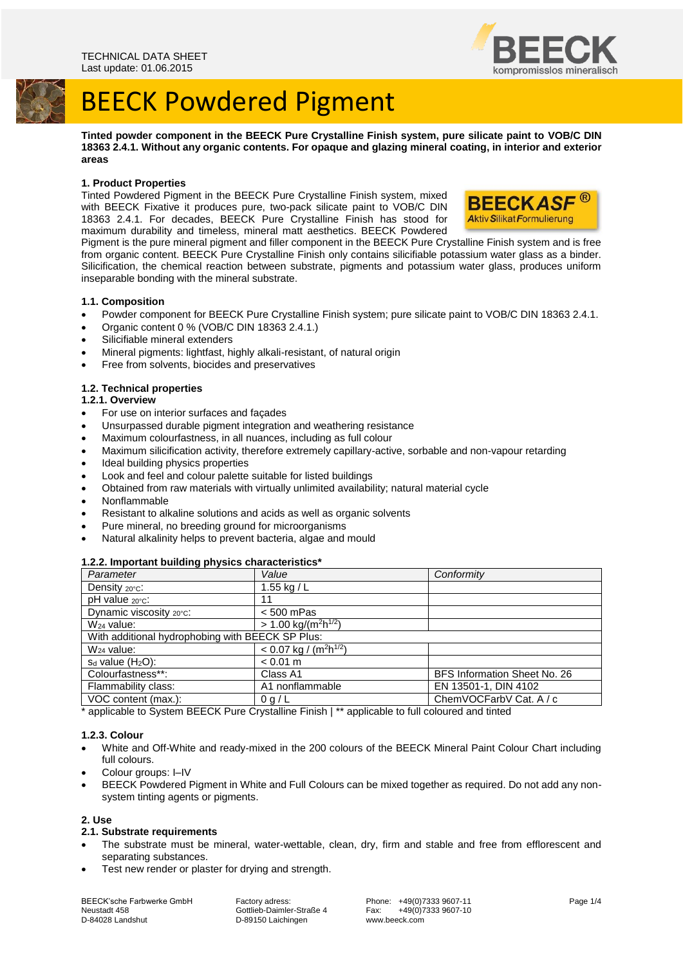

**Tinted powder component in the BEECK Pure Crystalline Finish system, pure silicate paint to VOB/C DIN 18363 2.4.1. Without any organic contents. For opaque and glazing mineral coating, in interior and exterior areas**

#### **1. Product Properties**

Tinted Powdered Pigment in the BEECK Pure Crystalline Finish system, mixed with BEECK Fixative it produces pure, two-pack silicate paint to VOB/C DIN 18363 2.4.1. For decades, BEECK Pure Crystalline Finish has stood for maximum durability and timeless, mineral matt aesthetics. BEECK Powdered



Pigment is the pure mineral pigment and filler component in the BEECK Pure Crystalline Finish system and is free from organic content. BEECK Pure Crystalline Finish only contains silicifiable potassium water glass as a binder. Silicification, the chemical reaction between substrate, pigments and potassium water glass, produces uniform inseparable bonding with the mineral substrate.

### **1.1. Composition**

- Powder component for BEECK Pure Crystalline Finish system; pure silicate paint to VOB/C DIN 18363 2.4.1.
- Organic content 0 % (VOB/C DIN 18363 2.4.1.)
- Silicifiable mineral extenders
- Mineral pigments: lightfast, highly alkali-resistant, of natural origin
- Free from solvents, biocides and preservatives

### **1.2. Technical properties**

## **1.2.1. Overview**

- For use on interior surfaces and façades
- Unsurpassed durable pigment integration and weathering resistance
- Maximum colourfastness, in all nuances, including as full colour
- Maximum silicification activity, therefore extremely capillary-active, sorbable and non-vapour retarding
- Ideal building physics properties
- Look and feel and colour palette suitable for listed buildings
- Obtained from raw materials with virtually unlimited availability; natural material cycle
- Nonflammable
- Resistant to alkaline solutions and acids as well as organic solvents
- Pure mineral, no breeding ground for microorganisms
- Natural alkalinity helps to prevent bacteria, algae and mould

#### **1.2.2. Important building physics characteristics\***

| Value                                            | Conformity                   |
|--------------------------------------------------|------------------------------|
| 1.55 kg / $L$                                    |                              |
| 11                                               |                              |
| $< 500$ mPas                                     |                              |
| $> 1.00$ kg/(m <sup>2</sup> h <sup>1/2</sup> )   |                              |
| With additional hydrophobing with BEECK SP Plus: |                              |
| $< 0.07$ kg / (m <sup>2</sup> h <sup>1/2</sup> ) |                              |
| $< 0.01 \text{ m}$                               |                              |
| Class A1                                         | BFS Information Sheet No. 26 |
| A1 nonflammable                                  | EN 13501-1, DIN 4102         |
| 0 q/L                                            | ChemVOCFarbV Cat. A / c      |
|                                                  | ~ …                          |

\* applicable to System BEECK Pure Crystalline Finish | \*\* applicable to full coloured and tinted

#### **1.2.3. Colour**

- White and Off-White and ready-mixed in the 200 colours of the BEECK Mineral Paint Colour Chart including full colours.
- Colour groups: I–IV
- BEECK Powdered Pigment in White and Full Colours can be mixed together as required. Do not add any nonsystem tinting agents or pigments.

#### **2. Use**

#### **2.1. Substrate requirements**

- The substrate must be mineral, water-wettable, clean, dry, firm and stable and free from efflorescent and separating substances.
- Test new render or plaster for drying and strength.

Neustadt 458 Gottlieb-Daimler-Straße 4 Fax: +49(0)7333 9607-10

D-89150 Laichingen

BEECK'sche Farbwerke GmbH Factory adress: Phone: +49(0)7333 9607-11 Page 1/4<br>Neustadt 458 Fax: +49(0)7333 9607-10

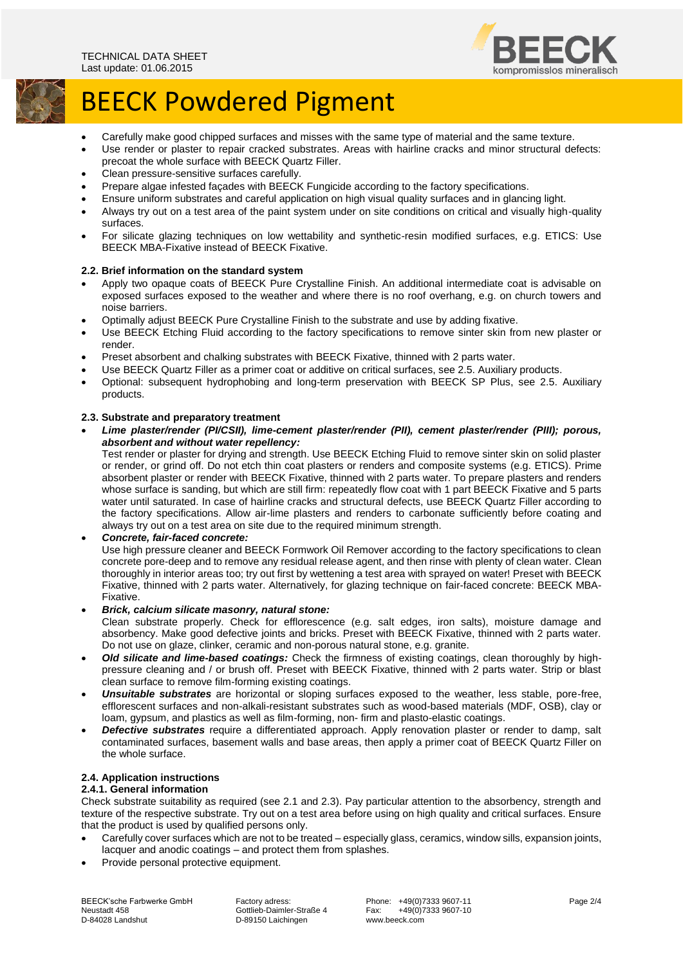

- Carefully make good chipped surfaces and misses with the same type of material and the same texture.
- Use render or plaster to repair cracked substrates. Areas with hairline cracks and minor structural defects: precoat the whole surface with BEECK Quartz Filler.
- Clean pressure-sensitive surfaces carefully.
- Prepare algae infested façades with BEECK Fungicide according to the factory specifications.
- Ensure uniform substrates and careful application on high visual quality surfaces and in glancing light.
- Always try out on a test area of the paint system under on site conditions on critical and visually high-quality surfaces.
- For silicate glazing techniques on low wettability and synthetic-resin modified surfaces, e.g. ETICS: Use BEECK MBA-Fixative instead of BEECK Fixative.

## **2.2. Brief information on the standard system**

- Apply two opaque coats of BEECK Pure Crystalline Finish. An additional intermediate coat is advisable on exposed surfaces exposed to the weather and where there is no roof overhang, e.g. on church towers and noise barriers.
- Optimally adjust BEECK Pure Crystalline Finish to the substrate and use by adding fixative.
- Use BEECK Etching Fluid according to the factory specifications to remove sinter skin from new plaster or render.
- Preset absorbent and chalking substrates with BEECK Fixative, thinned with 2 parts water.
- Use BEECK Quartz Filler as a primer coat or additive on critical surfaces, see 2.5. Auxiliary products.
- Optional: subsequent hydrophobing and long-term preservation with BEECK SP Plus, see 2.5. Auxiliary products.

### **2.3. Substrate and preparatory treatment**

 *Lime plaster/render (PI/CSII), lime-cement plaster/render (PII), cement plaster/render (PIII); porous, absorbent and without water repellency:*

Test render or plaster for drying and strength. Use BEECK Etching Fluid to remove sinter skin on solid plaster or render, or grind off. Do not etch thin coat plasters or renders and composite systems (e.g. ETICS). Prime absorbent plaster or render with BEECK Fixative, thinned with 2 parts water. To prepare plasters and renders whose surface is sanding, but which are still firm: repeatedly flow coat with 1 part BEECK Fixative and 5 parts water until saturated. In case of hairline cracks and structural defects, use BEECK Quartz Filler according to the factory specifications. Allow air-lime plasters and renders to carbonate sufficiently before coating and always try out on a test area on site due to the required minimum strength.

#### *Concrete, fair-faced concrete:*

Use high pressure cleaner and BEECK Formwork Oil Remover according to the factory specifications to clean concrete pore-deep and to remove any residual release agent, and then rinse with plenty of clean water. Clean thoroughly in interior areas too; try out first by wettening a test area with sprayed on water! Preset with BEECK Fixative, thinned with 2 parts water. Alternatively, for glazing technique on fair-faced concrete: BEECK MBA-Fixative.

*Brick, calcium silicate masonry, natural stone:*

Clean substrate properly. Check for efflorescence (e.g. salt edges, iron salts), moisture damage and absorbency. Make good defective joints and bricks. Preset with BEECK Fixative, thinned with 2 parts water. Do not use on glaze, clinker, ceramic and non-porous natural stone, e.g. granite.

- *Old silicate and lime-based coatings:* Check the firmness of existing coatings, clean thoroughly by highpressure cleaning and / or brush off. Preset with BEECK Fixative, thinned with 2 parts water. Strip or blast clean surface to remove film-forming existing coatings.
- *Unsuitable substrates* are horizontal or sloping surfaces exposed to the weather, less stable, pore-free, efflorescent surfaces and non-alkali-resistant substrates such as wood-based materials (MDF, OSB), clay or loam, gypsum, and plastics as well as film-forming, non- firm and plasto-elastic coatings.
- *Defective substrates* require a differentiated approach. Apply renovation plaster or render to damp, salt contaminated surfaces, basement walls and base areas, then apply a primer coat of BEECK Quartz Filler on the whole surface.

## **2.4. Application instructions**

## **2.4.1. General information**

Check substrate suitability as required (see 2.1 and 2.3). Pay particular attention to the absorbency, strength and texture of the respective substrate. Try out on a test area before using on high quality and critical surfaces. Ensure that the product is used by qualified persons only.

- Carefully cover surfaces which are not to be treated especially glass, ceramics, window sills, expansion joints, lacquer and anodic coatings – and protect them from splashes.
- Provide personal protective equipment.

BEECK'sche Farbwerke GmbH Factory adress: Phone: +49(0)7333 9607-11 Page 2/4<br>Neustadt 458 Page 2/4 Cottlieb-Daimler-Straße 4 Fax: +49(0)7333 9607-10 Neustadt 458 Gottlieb-Daimler-Straße 4 Fax: +49(0)7333 9607-10

D-89150 Laichingen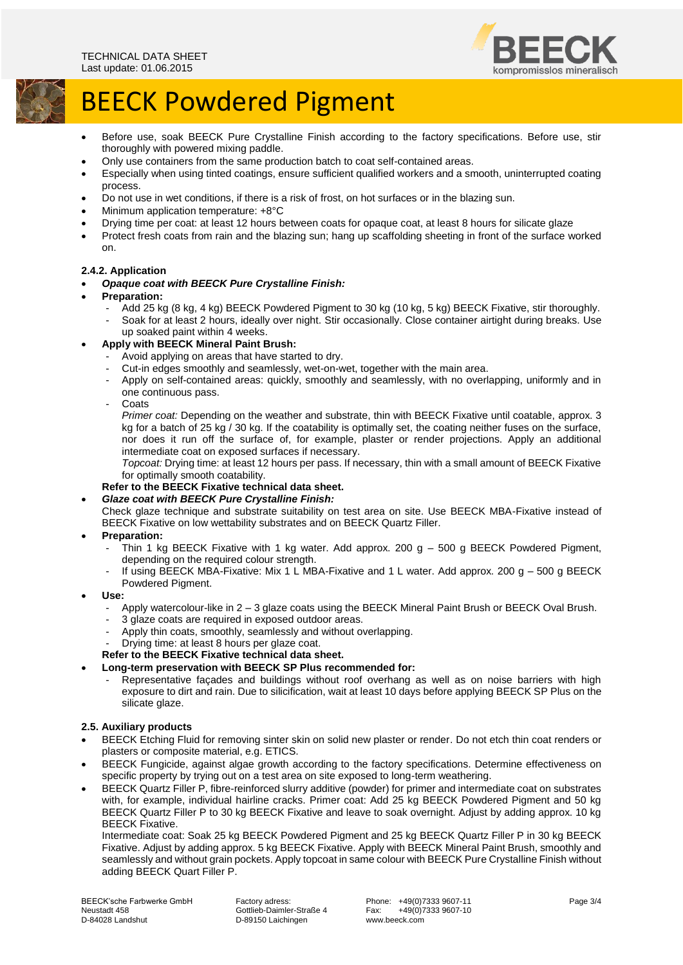

- Before use, soak BEECK Pure Crystalline Finish according to the factory specifications. Before use, stir thoroughly with powered mixing paddle.
- Only use containers from the same production batch to coat self-contained areas.
- Especially when using tinted coatings, ensure sufficient qualified workers and a smooth, uninterrupted coating process.
- Do not use in wet conditions, if there is a risk of frost, on hot surfaces or in the blazing sun.
- Minimum application temperature: +8°C
- Drying time per coat: at least 12 hours between coats for opaque coat, at least 8 hours for silicate glaze
- Protect fresh coats from rain and the blazing sun; hang up scaffolding sheeting in front of the surface worked on.

### **2.4.2. Application**

- *Opaque coat with BEECK Pure Crystalline Finish:*
- **Preparation:**
	- Add 25 kg (8 kg, 4 kg) BEECK Powdered Pigment to 30 kg (10 kg, 5 kg) BEECK Fixative, stir thoroughly.
	- Soak for at least 2 hours, ideally over night. Stir occasionally. Close container airtight during breaks. Use up soaked paint within 4 weeks.
- **Apply with BEECK Mineral Paint Brush:**
	- Avoid applying on areas that have started to dry.
	- Cut-in edges smoothly and seamlessly, wet-on-wet, together with the main area.
	- Apply on self-contained areas: quickly, smoothly and seamlessly, with no overlapping, uniformly and in one continuous pass.

- Coats

*Primer coat:* Depending on the weather and substrate, thin with BEECK Fixative until coatable, approx. 3 kg for a batch of 25 kg / 30 kg. If the coatability is optimally set, the coating neither fuses on the surface, nor does it run off the surface of, for example, plaster or render projections. Apply an additional intermediate coat on exposed surfaces if necessary.

*Topcoat:* Drying time: at least 12 hours per pass. If necessary, thin with a small amount of BEECK Fixative for optimally smooth coatability.

## **Refer to the BEECK Fixative technical data sheet.**

*Glaze coat with BEECK Pure Crystalline Finish:*

Check glaze technique and substrate suitability on test area on site. Use BEECK MBA-Fixative instead of BEECK Fixative on low wettability substrates and on BEECK Quartz Filler.

- **Preparation:**
	- Thin 1 kg BEECK Fixative with 1 kg water. Add approx. 200  $g 500$  g BEECK Powdered Pigment, depending on the required colour strength.
	- If using BEECK MBA-Fixative: Mix 1 L MBA-Fixative and 1 L water. Add approx. 200 g 500 g BEECK Powdered Pigment.
- **Use:**
	- Apply watercolour-like in 2 3 glaze coats using the BEECK Mineral Paint Brush or BEECK Oval Brush.
	- 3 glaze coats are required in exposed outdoor areas.
	- Apply thin coats, smoothly, seamlessly and without overlapping.
	- Drying time: at least 8 hours per glaze coat.

#### **Refer to the BEECK Fixative technical data sheet.**

- **Long-term preservation with BEECK SP Plus recommended for:**
	- Representative façades and buildings without roof overhang as well as on noise barriers with high exposure to dirt and rain. Due to silicification, wait at least 10 days before applying BEECK SP Plus on the silicate glaze.

#### **2.5. Auxiliary products**

- BEECK Etching Fluid for removing sinter skin on solid new plaster or render. Do not etch thin coat renders or plasters or composite material, e.g. ETICS.
- BEECK Fungicide, against algae growth according to the factory specifications. Determine effectiveness on specific property by trying out on a test area on site exposed to long-term weathering.
- BEECK Quartz Filler P, fibre-reinforced slurry additive (powder) for primer and intermediate coat on substrates with, for example, individual hairline cracks. Primer coat: Add 25 kg BEECK Powdered Pigment and 50 kg BEECK Quartz Filler P to 30 kg BEECK Fixative and leave to soak overnight. Adjust by adding approx. 10 kg BEECK Fixative.

Intermediate coat: Soak 25 kg BEECK Powdered Pigment and 25 kg BEECK Quartz Filler P in 30 kg BEECK Fixative. Adjust by adding approx. 5 kg BEECK Fixative. Apply with BEECK Mineral Paint Brush, smoothly and seamlessly and without grain pockets. Apply topcoat in same colour with BEECK Pure Crystalline Finish without adding BEECK Quart Filler P.

D-89150 Laichingen